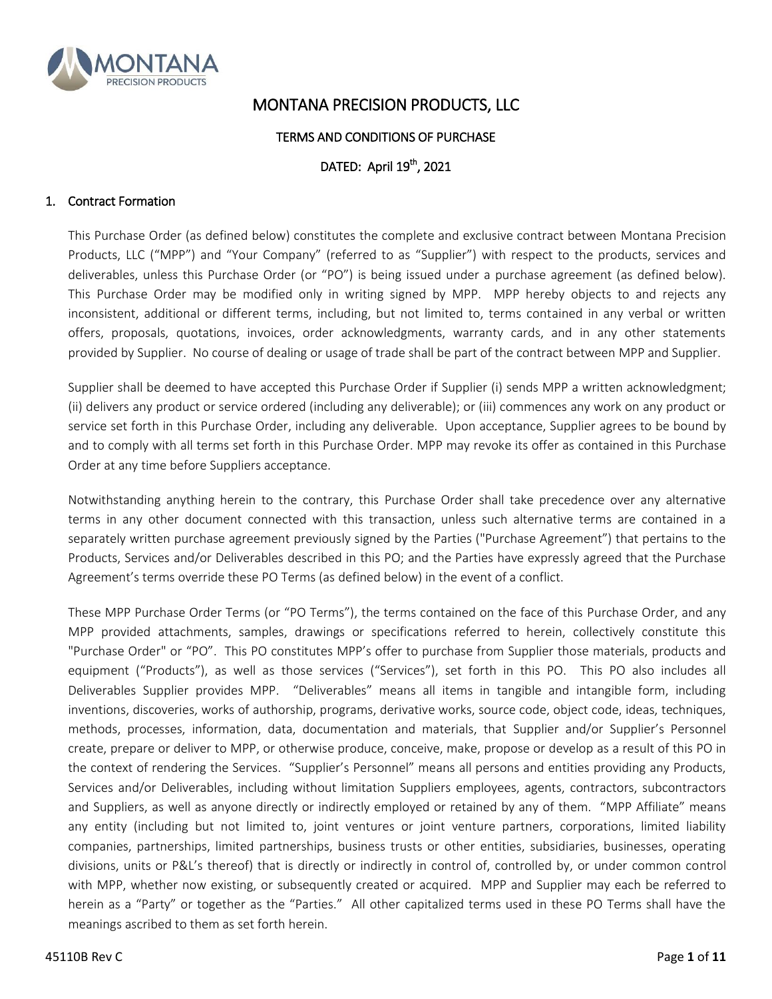

# MONTANA PRECISION PRODUCTS, LLC

## TERMS AND CONDITIONS OF PURCHASE

# DATED: April 19<sup>th</sup>, 2021

## 1. Contract Formation

This Purchase Order (as defined below) constitutes the complete and exclusive contract between Montana Precision Products, LLC ("MPP") and "Your Company" (referred to as "Supplier") with respect to the products, services and deliverables, unless this Purchase Order (or "PO") is being issued under a purchase agreement (as defined below). This Purchase Order may be modified only in writing signed by MPP. MPP hereby objects to and rejects any inconsistent, additional or different terms, including, but not limited to, terms contained in any verbal or written offers, proposals, quotations, invoices, order acknowledgments, warranty cards, and in any other statements provided by Supplier. No course of dealing or usage of trade shall be part of the contract between MPP and Supplier.

Supplier shall be deemed to have accepted this Purchase Order if Supplier (i) sends MPP a written acknowledgment; (ii) delivers any product or service ordered (including any deliverable); or (iii) commences any work on any product or service set forth in this Purchase Order, including any deliverable. Upon acceptance, Supplier agrees to be bound by and to comply with all terms set forth in this Purchase Order. MPP may revoke its offer as contained in this Purchase Order at any time before Suppliers acceptance.

Notwithstanding anything herein to the contrary, this Purchase Order shall take precedence over any alternative terms in any other document connected with this transaction, unless such alternative terms are contained in a separately written purchase agreement previously signed by the Parties ("Purchase Agreement") that pertains to the Products, Services and/or Deliverables described in this PO; and the Parties have expressly agreed that the Purchase Agreement's terms override these PO Terms (as defined below) in the event of a conflict.

These MPP Purchase Order Terms (or "PO Terms"), the terms contained on the face of this Purchase Order, and any MPP provided attachments, samples, drawings or specifications referred to herein, collectively constitute this "Purchase Order" or "PO". This PO constitutes MPP's offer to purchase from Supplier those materials, products and equipment ("Products"), as well as those services ("Services"), set forth in this PO. This PO also includes all Deliverables Supplier provides MPP. "Deliverables" means all items in tangible and intangible form, including inventions, discoveries, works of authorship, programs, derivative works, source code, object code, ideas, techniques, methods, processes, information, data, documentation and materials, that Supplier and/or Supplier's Personnel create, prepare or deliver to MPP, or otherwise produce, conceive, make, propose or develop as a result of this PO in the context of rendering the Services. "Supplier's Personnel" means all persons and entities providing any Products, Services and/or Deliverables, including without limitation Suppliers employees, agents, contractors, subcontractors and Suppliers, as well as anyone directly or indirectly employed or retained by any of them. "MPP Affiliate" means any entity (including but not limited to, joint ventures or joint venture partners, corporations, limited liability companies, partnerships, limited partnerships, business trusts or other entities, subsidiaries, businesses, operating divisions, units or P&L's thereof) that is directly or indirectly in control of, controlled by, or under common control with MPP, whether now existing, or subsequently created or acquired. MPP and Supplier may each be referred to herein as a "Party" or together as the "Parties." All other capitalized terms used in these PO Terms shall have the meanings ascribed to them as set forth herein.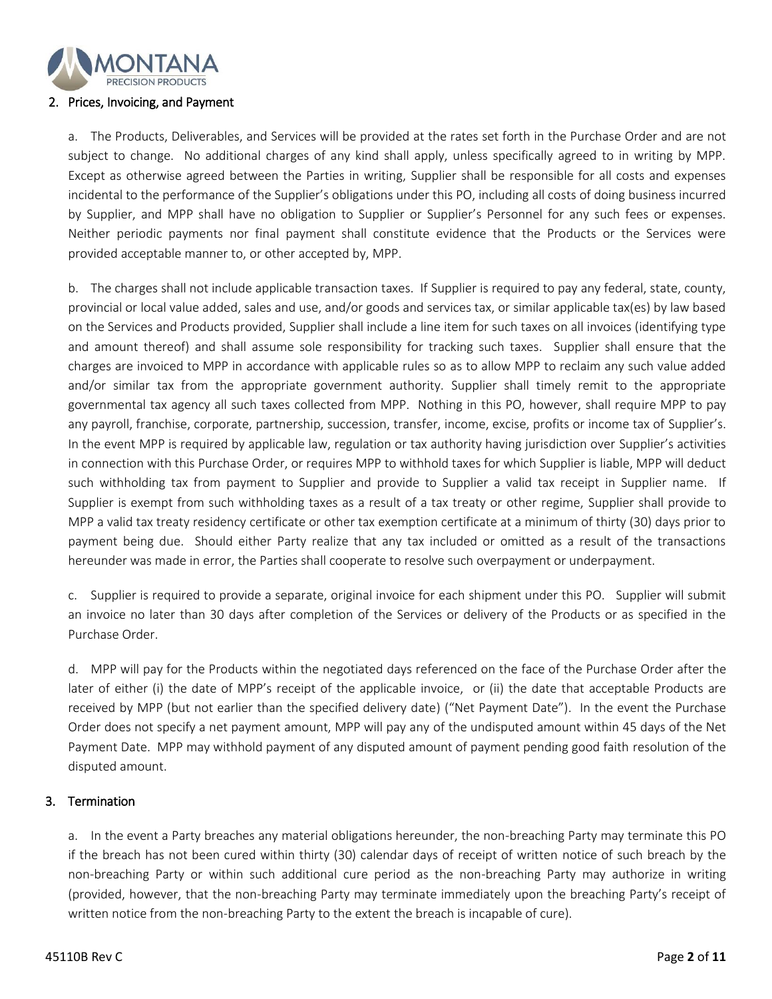

#### 2. Prices, Invoicing, and Payment

a. The Products, Deliverables, and Services will be provided at the rates set forth in the Purchase Order and are not subject to change. No additional charges of any kind shall apply, unless specifically agreed to in writing by MPP. Except as otherwise agreed between the Parties in writing, Supplier shall be responsible for all costs and expenses incidental to the performance of the Supplier's obligations under this PO, including all costs of doing business incurred by Supplier, and MPP shall have no obligation to Supplier or Supplier's Personnel for any such fees or expenses. Neither periodic payments nor final payment shall constitute evidence that the Products or the Services were provided acceptable manner to, or other accepted by, MPP.

b. The charges shall not include applicable transaction taxes. If Supplier is required to pay any federal, state, county, provincial or local value added, sales and use, and/or goods and services tax, or similar applicable tax(es) by law based on the Services and Products provided, Supplier shall include a line item for such taxes on all invoices (identifying type and amount thereof) and shall assume sole responsibility for tracking such taxes. Supplier shall ensure that the charges are invoiced to MPP in accordance with applicable rules so as to allow MPP to reclaim any such value added and/or similar tax from the appropriate government authority. Supplier shall timely remit to the appropriate governmental tax agency all such taxes collected from MPP. Nothing in this PO, however, shall require MPP to pay any payroll, franchise, corporate, partnership, succession, transfer, income, excise, profits or income tax of Supplier's. In the event MPP is required by applicable law, regulation or tax authority having jurisdiction over Supplier's activities in connection with this Purchase Order, or requires MPP to withhold taxes for which Supplier is liable, MPP will deduct such withholding tax from payment to Supplier and provide to Supplier a valid tax receipt in Supplier name. If Supplier is exempt from such withholding taxes as a result of a tax treaty or other regime, Supplier shall provide to MPP a valid tax treaty residency certificate or other tax exemption certificate at a minimum of thirty (30) days prior to payment being due. Should either Party realize that any tax included or omitted as a result of the transactions hereunder was made in error, the Parties shall cooperate to resolve such overpayment or underpayment.

c. Supplier is required to provide a separate, original invoice for each shipment under this PO. Supplier will submit an invoice no later than 30 days after completion of the Services or delivery of the Products or as specified in the Purchase Order.

d. MPP will pay for the Products within the negotiated days referenced on the face of the Purchase Order after the later of either (i) the date of MPP's receipt of the applicable invoice, or (ii) the date that acceptable Products are received by MPP (but not earlier than the specified delivery date) ("Net Payment Date"). In the event the Purchase Order does not specify a net payment amount, MPP will pay any of the undisputed amount within 45 days of the Net Payment Date. MPP may withhold payment of any disputed amount of payment pending good faith resolution of the disputed amount.

# 3. Termination

a. In the event a Party breaches any material obligations hereunder, the non-breaching Party may terminate this PO if the breach has not been cured within thirty (30) calendar days of receipt of written notice of such breach by the non-breaching Party or within such additional cure period as the non-breaching Party may authorize in writing (provided, however, that the non-breaching Party may terminate immediately upon the breaching Party's receipt of written notice from the non-breaching Party to the extent the breach is incapable of cure).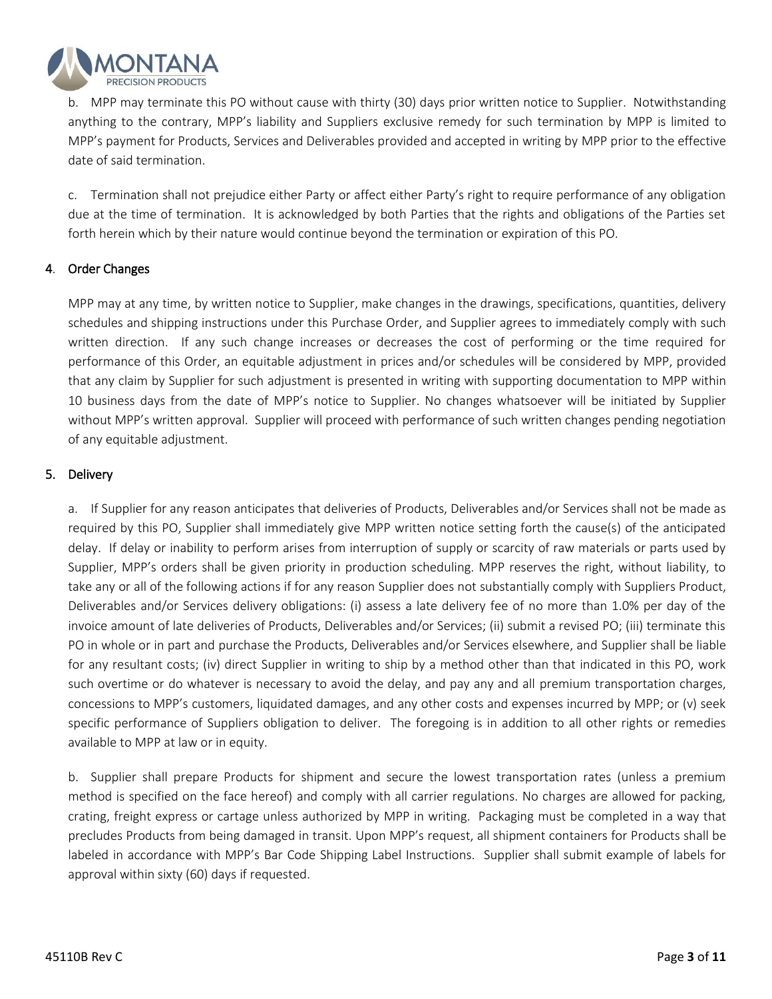

b. MPP may terminate this PO without cause with thirty (30) days prior written notice to Supplier. Notwithstanding anything to the contrary, MPP's liability and Suppliers exclusive remedy for such termination by MPP is limited to MPP's payment for Products, Services and Deliverables provided and accepted in writing by MPP prior to the effective date of said termination.

c. Termination shall not prejudice either Party or affect either Party's right to require performance of any obligation due at the time of termination. It is acknowledged by both Parties that the rights and obligations of the Parties set forth herein which by their nature would continue beyond the termination or expiration of this PO.

# 4. Order Changes

MPP may at any time, by written notice to Supplier, make changes in the drawings, specifications, quantities, delivery schedules and shipping instructions under this Purchase Order, and Supplier agrees to immediately comply with such written direction. If any such change increases or decreases the cost of performing or the time required for performance of this Order, an equitable adjustment in prices and/or schedules will be considered by MPP, provided that any claim by Supplier for such adjustment is presented in writing with supporting documentation to MPP within 10 business days from the date of MPP's notice to Supplier. No changes whatsoever will be initiated by Supplier without MPP's written approval. Supplier will proceed with performance of such written changes pending negotiation of any equitable adjustment.

## 5. Delivery

a. If Supplier for any reason anticipates that deliveries of Products, Deliverables and/or Services shall not be made as required by this PO, Supplier shall immediately give MPP written notice setting forth the cause(s) of the anticipated delay. If delay or inability to perform arises from interruption of supply or scarcity of raw materials or parts used by Supplier, MPP's orders shall be given priority in production scheduling. MPP reserves the right, without liability, to take any or all of the following actions if for any reason Supplier does not substantially comply with Suppliers Product, Deliverables and/or Services delivery obligations: (i) assess a late delivery fee of no more than 1.0% per day of the invoice amount of late deliveries of Products, Deliverables and/or Services; (ii) submit a revised PO; (iii) terminate this PO in whole or in part and purchase the Products, Deliverables and/or Services elsewhere, and Supplier shall be liable for any resultant costs; (iv) direct Supplier in writing to ship by a method other than that indicated in this PO, work such overtime or do whatever is necessary to avoid the delay, and pay any and all premium transportation charges, concessions to MPP's customers, liquidated damages, and any other costs and expenses incurred by MPP; or (v) seek specific performance of Suppliers obligation to deliver. The foregoing is in addition to all other rights or remedies available to MPP at law or in equity.

b. Supplier shall prepare Products for shipment and secure the lowest transportation rates (unless a premium method is specified on the face hereof) and comply with all carrier regulations. No charges are allowed for packing, crating, freight express or cartage unless authorized by MPP in writing. Packaging must be completed in a way that precludes Products from being damaged in transit. Upon MPP's request, all shipment containers for Products shall be labeled in accordance with MPP's Bar Code Shipping Label Instructions. Supplier shall submit example of labels for approval within sixty (60) days if requested.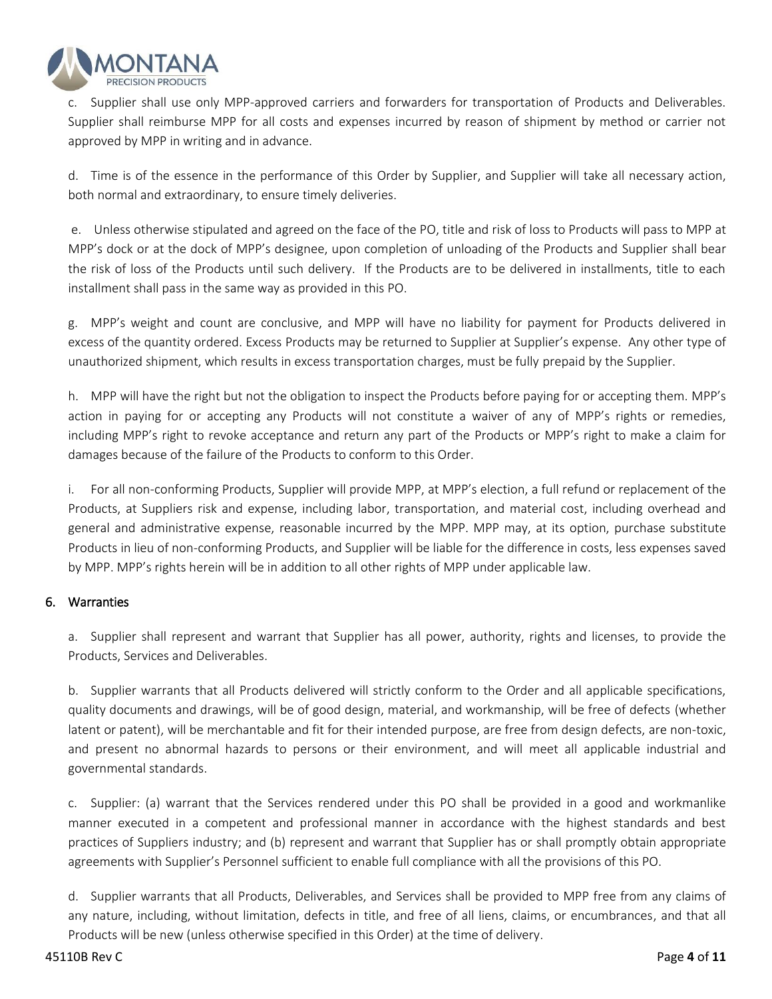

c. Supplier shall use only MPP-approved carriers and forwarders for transportation of Products and Deliverables. Supplier shall reimburse MPP for all costs and expenses incurred by reason of shipment by method or carrier not approved by MPP in writing and in advance.

d. Time is of the essence in the performance of this Order by Supplier, and Supplier will take all necessary action, both normal and extraordinary, to ensure timely deliveries.

e. Unless otherwise stipulated and agreed on the face of the PO, title and risk of loss to Products will pass to MPP at MPP's dock or at the dock of MPP's designee, upon completion of unloading of the Products and Supplier shall bear the risk of loss of the Products until such delivery. If the Products are to be delivered in installments, title to each installment shall pass in the same way as provided in this PO.

g. MPP's weight and count are conclusive, and MPP will have no liability for payment for Products delivered in excess of the quantity ordered. Excess Products may be returned to Supplier at Supplier's expense. Any other type of unauthorized shipment, which results in excess transportation charges, must be fully prepaid by the Supplier.

h. MPP will have the right but not the obligation to inspect the Products before paying for or accepting them. MPP's action in paying for or accepting any Products will not constitute a waiver of any of MPP's rights or remedies, including MPP's right to revoke acceptance and return any part of the Products or MPP's right to make a claim for damages because of the failure of the Products to conform to this Order.

i. For all non-conforming Products, Supplier will provide MPP, at MPP's election, a full refund or replacement of the Products, at Suppliers risk and expense, including labor, transportation, and material cost, including overhead and general and administrative expense, reasonable incurred by the MPP. MPP may, at its option, purchase substitute Products in lieu of non-conforming Products, and Supplier will be liable for the difference in costs, less expenses saved by MPP. MPP's rights herein will be in addition to all other rights of MPP under applicable law.

# 6. Warranties

a. Supplier shall represent and warrant that Supplier has all power, authority, rights and licenses, to provide the Products, Services and Deliverables.

b. Supplier warrants that all Products delivered will strictly conform to the Order and all applicable specifications, quality documents and drawings, will be of good design, material, and workmanship, will be free of defects (whether latent or patent), will be merchantable and fit for their intended purpose, are free from design defects, are non-toxic, and present no abnormal hazards to persons or their environment, and will meet all applicable industrial and governmental standards.

c. Supplier: (a) warrant that the Services rendered under this PO shall be provided in a good and workmanlike manner executed in a competent and professional manner in accordance with the highest standards and best practices of Suppliers industry; and (b) represent and warrant that Supplier has or shall promptly obtain appropriate agreements with Supplier's Personnel sufficient to enable full compliance with all the provisions of this PO.

d. Supplier warrants that all Products, Deliverables, and Services shall be provided to MPP free from any claims of any nature, including, without limitation, defects in title, and free of all liens, claims, or encumbrances, and that all Products will be new (unless otherwise specified in this Order) at the time of delivery.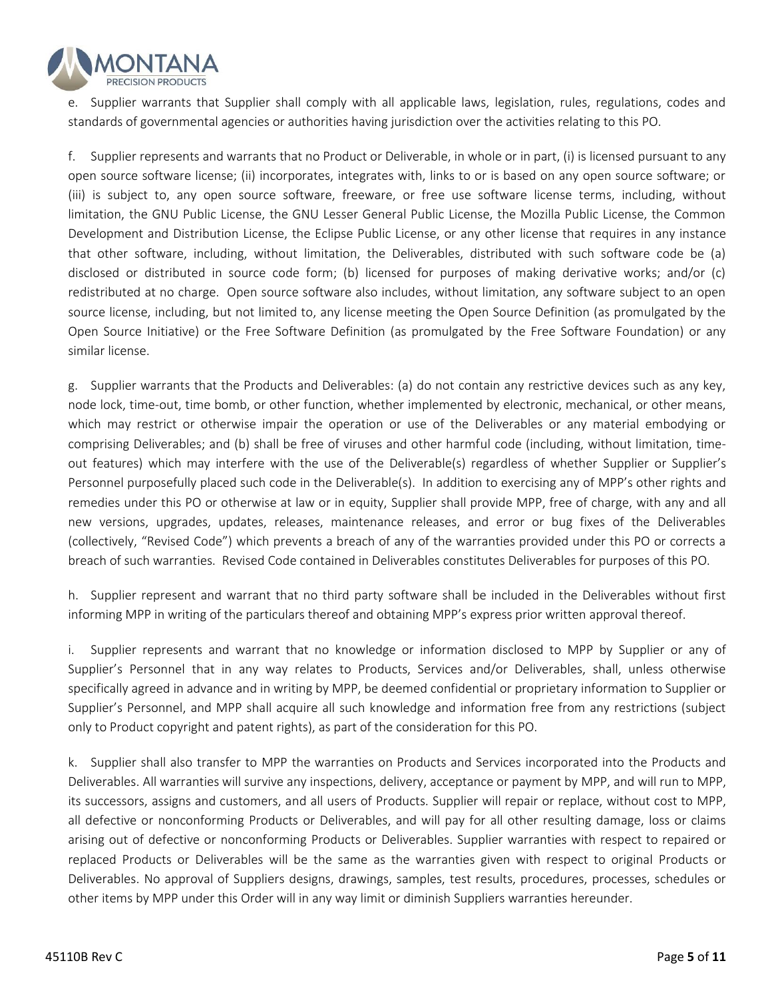

e. Supplier warrants that Supplier shall comply with all applicable laws, legislation, rules, regulations, codes and standards of governmental agencies or authorities having jurisdiction over the activities relating to this PO.

f. Supplier represents and warrants that no Product or Deliverable, in whole or in part, (i) is licensed pursuant to any open source software license; (ii) incorporates, integrates with, links to or is based on any open source software; or (iii) is subject to, any open source software, freeware, or free use software license terms, including, without limitation, the GNU Public License, the GNU Lesser General Public License, the Mozilla Public License, the Common Development and Distribution License, the Eclipse Public License, or any other license that requires in any instance that other software, including, without limitation, the Deliverables, distributed with such software code be (a) disclosed or distributed in source code form; (b) licensed for purposes of making derivative works; and/or (c) redistributed at no charge. Open source software also includes, without limitation, any software subject to an open source license, including, but not limited to, any license meeting the Open Source Definition (as promulgated by the Open Source Initiative) or the Free Software Definition (as promulgated by the Free Software Foundation) or any similar license.

g. Supplier warrants that the Products and Deliverables: (a) do not contain any restrictive devices such as any key, node lock, time-out, time bomb, or other function, whether implemented by electronic, mechanical, or other means, which may restrict or otherwise impair the operation or use of the Deliverables or any material embodying or comprising Deliverables; and (b) shall be free of viruses and other harmful code (including, without limitation, timeout features) which may interfere with the use of the Deliverable(s) regardless of whether Supplier or Supplier's Personnel purposefully placed such code in the Deliverable(s). In addition to exercising any of MPP's other rights and remedies under this PO or otherwise at law or in equity, Supplier shall provide MPP, free of charge, with any and all new versions, upgrades, updates, releases, maintenance releases, and error or bug fixes of the Deliverables (collectively, "Revised Code") which prevents a breach of any of the warranties provided under this PO or corrects a breach of such warranties. Revised Code contained in Deliverables constitutes Deliverables for purposes of this PO.

h. Supplier represent and warrant that no third party software shall be included in the Deliverables without first informing MPP in writing of the particulars thereof and obtaining MPP's express prior written approval thereof.

i. Supplier represents and warrant that no knowledge or information disclosed to MPP by Supplier or any of Supplier's Personnel that in any way relates to Products, Services and/or Deliverables, shall, unless otherwise specifically agreed in advance and in writing by MPP, be deemed confidential or proprietary information to Supplier or Supplier's Personnel, and MPP shall acquire all such knowledge and information free from any restrictions (subject only to Product copyright and patent rights), as part of the consideration for this PO.

k. Supplier shall also transfer to MPP the warranties on Products and Services incorporated into the Products and Deliverables. All warranties will survive any inspections, delivery, acceptance or payment by MPP, and will run to MPP, its successors, assigns and customers, and all users of Products. Supplier will repair or replace, without cost to MPP, all defective or nonconforming Products or Deliverables, and will pay for all other resulting damage, loss or claims arising out of defective or nonconforming Products or Deliverables. Supplier warranties with respect to repaired or replaced Products or Deliverables will be the same as the warranties given with respect to original Products or Deliverables. No approval of Suppliers designs, drawings, samples, test results, procedures, processes, schedules or other items by MPP under this Order will in any way limit or diminish Suppliers warranties hereunder.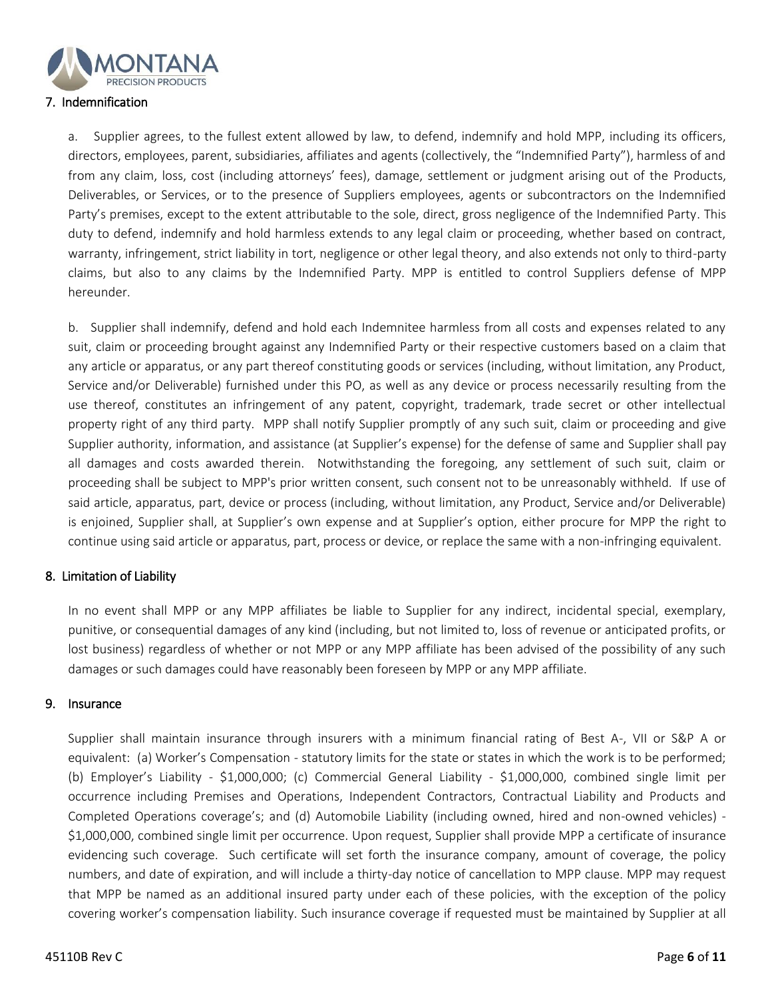

#### 7. Indemnification

a. Supplier agrees, to the fullest extent allowed by law, to defend, indemnify and hold MPP, including its officers, directors, employees, parent, subsidiaries, affiliates and agents (collectively, the "Indemnified Party"), harmless of and from any claim, loss, cost (including attorneys' fees), damage, settlement or judgment arising out of the Products, Deliverables, or Services, or to the presence of Suppliers employees, agents or subcontractors on the Indemnified Party's premises, except to the extent attributable to the sole, direct, gross negligence of the Indemnified Party. This duty to defend, indemnify and hold harmless extends to any legal claim or proceeding, whether based on contract, warranty, infringement, strict liability in tort, negligence or other legal theory, and also extends not only to third-party claims, but also to any claims by the Indemnified Party. MPP is entitled to control Suppliers defense of MPP hereunder.

b. Supplier shall indemnify, defend and hold each Indemnitee harmless from all costs and expenses related to any suit, claim or proceeding brought against any Indemnified Party or their respective customers based on a claim that any article or apparatus, or any part thereof constituting goods or services (including, without limitation, any Product, Service and/or Deliverable) furnished under this PO, as well as any device or process necessarily resulting from the use thereof, constitutes an infringement of any patent, copyright, trademark, trade secret or other intellectual property right of any third party. MPP shall notify Supplier promptly of any such suit, claim or proceeding and give Supplier authority, information, and assistance (at Supplier's expense) for the defense of same and Supplier shall pay all damages and costs awarded therein. Notwithstanding the foregoing, any settlement of such suit, claim or proceeding shall be subject to MPP's prior written consent, such consent not to be unreasonably withheld. If use of said article, apparatus, part, device or process (including, without limitation, any Product, Service and/or Deliverable) is enjoined, Supplier shall, at Supplier's own expense and at Supplier's option, either procure for MPP the right to continue using said article or apparatus, part, process or device, or replace the same with a non-infringing equivalent.

#### 8. Limitation of Liability

In no event shall MPP or any MPP affiliates be liable to Supplier for any indirect, incidental special, exemplary, punitive, or consequential damages of any kind (including, but not limited to, loss of revenue or anticipated profits, or lost business) regardless of whether or not MPP or any MPP affiliate has been advised of the possibility of any such damages or such damages could have reasonably been foreseen by MPP or any MPP affiliate.

#### 9. Insurance

Supplier shall maintain insurance through insurers with a minimum financial rating of Best A-, VII or S&P A or equivalent: (a) Worker's Compensation - statutory limits for the state or states in which the work is to be performed; (b) Employer's Liability - \$1,000,000; (c) Commercial General Liability - \$1,000,000, combined single limit per occurrence including Premises and Operations, Independent Contractors, Contractual Liability and Products and Completed Operations coverage's; and (d) Automobile Liability (including owned, hired and non-owned vehicles) - \$1,000,000, combined single limit per occurrence. Upon request, Supplier shall provide MPP a certificate of insurance evidencing such coverage. Such certificate will set forth the insurance company, amount of coverage, the policy numbers, and date of expiration, and will include a thirty-day notice of cancellation to MPP clause. MPP may request that MPP be named as an additional insured party under each of these policies, with the exception of the policy covering worker's compensation liability. Such insurance coverage if requested must be maintained by Supplier at all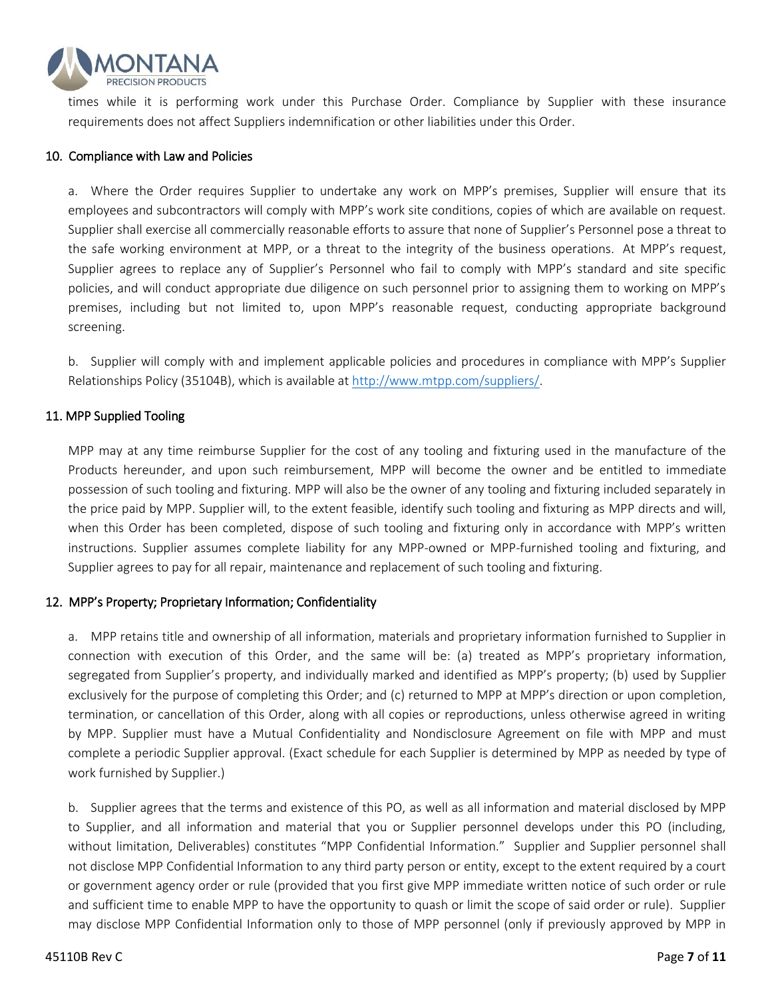

times while it is performing work under this Purchase Order. Compliance by Supplier with these insurance requirements does not affect Suppliers indemnification or other liabilities under this Order.

#### 10. Compliance with Law and Policies

a. Where the Order requires Supplier to undertake any work on MPP's premises, Supplier will ensure that its employees and subcontractors will comply with MPP's work site conditions, copies of which are available on request. Supplier shall exercise all commercially reasonable efforts to assure that none of Supplier's Personnel pose a threat to the safe working environment at MPP, or a threat to the integrity of the business operations. At MPP's request, Supplier agrees to replace any of Supplier's Personnel who fail to comply with MPP's standard and site specific policies, and will conduct appropriate due diligence on such personnel prior to assigning them to working on MPP's premises, including but not limited to, upon MPP's reasonable request, conducting appropriate background screening.

b. Supplier will comply with and implement applicable policies and procedures in compliance with MPP's Supplier Relationships Policy (35104B), which is available at [http://www.mtpp.com/suppliers/.](http://www.mtpp.com/suppliers/)

## 11. MPP Supplied Tooling

MPP may at any time reimburse Supplier for the cost of any tooling and fixturing used in the manufacture of the Products hereunder, and upon such reimbursement, MPP will become the owner and be entitled to immediate possession of such tooling and fixturing. MPP will also be the owner of any tooling and fixturing included separately in the price paid by MPP. Supplier will, to the extent feasible, identify such tooling and fixturing as MPP directs and will, when this Order has been completed, dispose of such tooling and fixturing only in accordance with MPP's written instructions. Supplier assumes complete liability for any MPP-owned or MPP-furnished tooling and fixturing, and Supplier agrees to pay for all repair, maintenance and replacement of such tooling and fixturing.

#### 12. MPP's Property; Proprietary Information; Confidentiality

a. MPP retains title and ownership of all information, materials and proprietary information furnished to Supplier in connection with execution of this Order, and the same will be: (a) treated as MPP's proprietary information, segregated from Supplier's property, and individually marked and identified as MPP's property; (b) used by Supplier exclusively for the purpose of completing this Order; and (c) returned to MPP at MPP's direction or upon completion, termination, or cancellation of this Order, along with all copies or reproductions, unless otherwise agreed in writing by MPP. Supplier must have a Mutual Confidentiality and Nondisclosure Agreement on file with MPP and must complete a periodic Supplier approval. (Exact schedule for each Supplier is determined by MPP as needed by type of work furnished by Supplier.)

b. Supplier agrees that the terms and existence of this PO,as well as all information and material disclosed by MPP to Supplier, and all information and material that you or Supplier personnel develops under this PO (including, without limitation, Deliverables) constitutes "MPP Confidential Information." Supplier and Supplier personnel shall not disclose MPP Confidential Information to any third party person or entity, except to the extent required by a court or government agency order or rule (provided that you first give MPP immediate written notice of such order or rule and sufficient time to enable MPP to have the opportunity to quash or limit the scope of said order or rule). Supplier may disclose MPP Confidential Information only to those of MPP personnel (only if previously approved by MPP in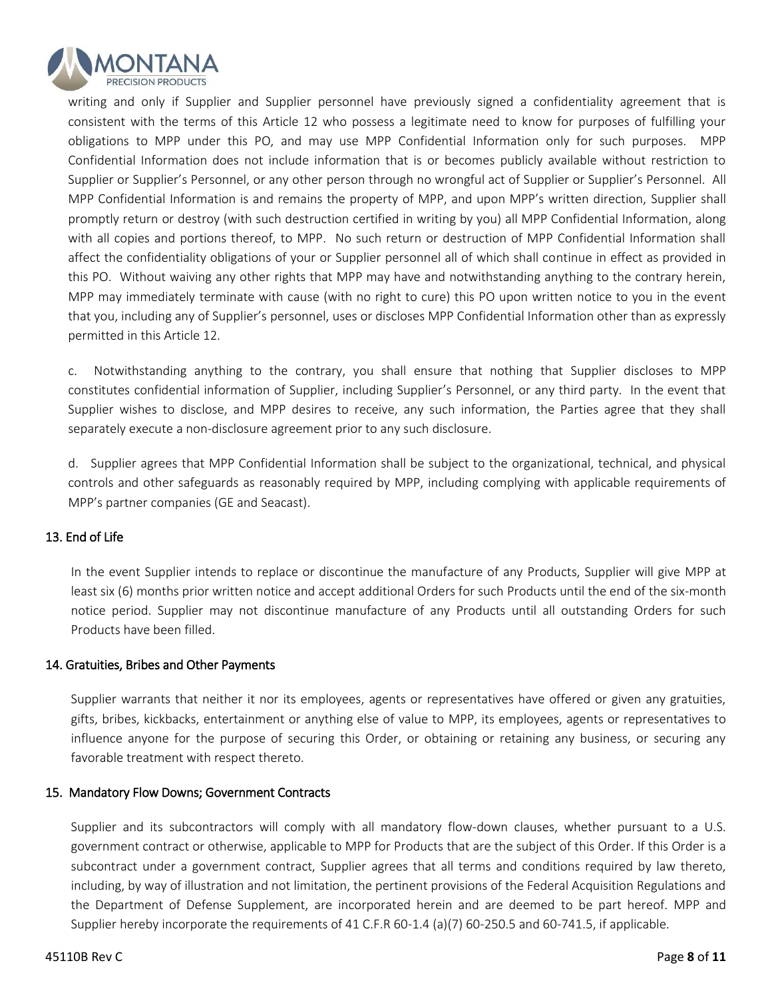

writing and only if Supplier and Supplier personnel have previously signed a confidentiality agreement that is consistent with the terms of this Article 12 who possess a legitimate need to know for purposes of fulfilling your obligations to MPP under this PO, and may use MPP Confidential Information only for such purposes. MPP Confidential Information does not include information that is or becomes publicly available without restriction to Supplier or Supplier's Personnel, or any other person through no wrongful act of Supplier or Supplier's Personnel. All MPP Confidential Information is and remains the property of MPP, and upon MPP's written direction, Supplier shall promptly return or destroy (with such destruction certified in writing by you) all MPP Confidential Information, along with all copies and portions thereof, to MPP. No such return or destruction of MPP Confidential Information shall affect the confidentiality obligations of your or Supplier personnel all of which shall continue in effect as provided in this PO. Without waiving any other rights that MPP may have and notwithstanding anything to the contrary herein, MPP may immediately terminate with cause (with no right to cure) this PO upon written notice to you in the event that you, including any of Supplier's personnel, uses or discloses MPP Confidential Information other than as expressly permitted in this Article 12.

c. Notwithstanding anything to the contrary, you shall ensure that nothing that Supplier discloses to MPP constitutes confidential information of Supplier, including Supplier's Personnel, or any third party. In the event that Supplier wishes to disclose, and MPP desires to receive, any such information, the Parties agree that they shall separately execute a non-disclosure agreement prior to any such disclosure.

d. Supplier agrees that MPP Confidential Information shall be subject to the organizational, technical, and physical controls and other safeguards as reasonably required by MPP, including complying with applicable requirements of MPP's partner companies (GE and Seacast).

# 13. End of Life

In the event Supplier intends to replace or discontinue the manufacture of any Products, Supplier will give MPP at least six (6) months prior written notice and accept additional Orders for such Products until the end of the six-month notice period. Supplier may not discontinue manufacture of any Products until all outstanding Orders for such Products have been filled.

#### 14. Gratuities, Bribes and Other Payments

Supplier warrants that neither it nor its employees, agents or representatives have offered or given any gratuities, gifts, bribes, kickbacks, entertainment or anything else of value to MPP, its employees, agents or representatives to influence anyone for the purpose of securing this Order, or obtaining or retaining any business, or securing any favorable treatment with respect thereto.

#### 15. Mandatory Flow Downs; Government Contracts

Supplier and its subcontractors will comply with all mandatory flow-down clauses, whether pursuant to a U.S. government contract or otherwise, applicable to MPP for Products that are the subject of this Order. If this Order is a subcontract under a government contract, Supplier agrees that all terms and conditions required by law thereto, including, by way of illustration and not limitation, the pertinent provisions of the Federal Acquisition Regulations and the Department of Defense Supplement, are incorporated herein and are deemed to be part hereof. MPP and Supplier hereby incorporate the requirements of 41 C.F.R 60-1.4 (a)(7) 60-250.5 and 60-741.5, if applicable.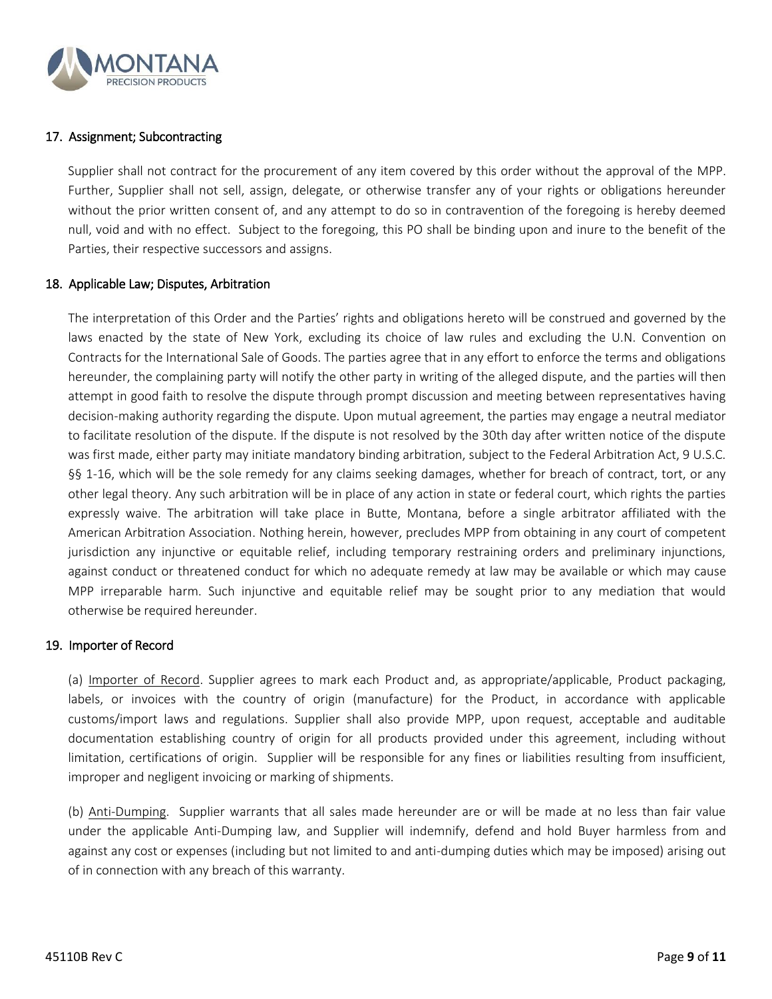

# 17. Assignment; Subcontracting

Supplier shall not contract for the procurement of any item covered by this order without the approval of the MPP. Further, Supplier shall not sell, assign, delegate, or otherwise transfer any of your rights or obligations hereunder without the prior written consent of, and any attempt to do so in contravention of the foregoing is hereby deemed null, void and with no effect. Subject to the foregoing, this PO shall be binding upon and inure to the benefit of the Parties, their respective successors and assigns.

#### 18. Applicable Law; Disputes, Arbitration

The interpretation of this Order and the Parties' rights and obligations hereto will be construed and governed by the laws enacted by the state of New York, excluding its choice of law rules and excluding the U.N. Convention on Contracts for the International Sale of Goods. The parties agree that in any effort to enforce the terms and obligations hereunder, the complaining party will notify the other party in writing of the alleged dispute, and the parties will then attempt in good faith to resolve the dispute through prompt discussion and meeting between representatives having decision-making authority regarding the dispute. Upon mutual agreement, the parties may engage a neutral mediator to facilitate resolution of the dispute. If the dispute is not resolved by the 30th day after written notice of the dispute was first made, either party may initiate mandatory binding arbitration, subject to the Federal Arbitration Act, 9 U.S.C. §§ 1-16, which will be the sole remedy for any claims seeking damages, whether for breach of contract, tort, or any other legal theory. Any such arbitration will be in place of any action in state or federal court, which rights the parties expressly waive. The arbitration will take place in Butte, Montana, before a single arbitrator affiliated with the American Arbitration Association. Nothing herein, however, precludes MPP from obtaining in any court of competent jurisdiction any injunctive or equitable relief, including temporary restraining orders and preliminary injunctions, against conduct or threatened conduct for which no adequate remedy at law may be available or which may cause MPP irreparable harm. Such injunctive and equitable relief may be sought prior to any mediation that would otherwise be required hereunder.

#### 19. Importer of Record

(a) Importer of Record. Supplier agrees to mark each Product and, as appropriate/applicable, Product packaging, labels, or invoices with the country of origin (manufacture) for the Product, in accordance with applicable customs/import laws and regulations. Supplier shall also provide MPP, upon request, acceptable and auditable documentation establishing country of origin for all products provided under this agreement, including without limitation, certifications of origin. Supplier will be responsible for any fines or liabilities resulting from insufficient, improper and negligent invoicing or marking of shipments.

(b) Anti-Dumping. Supplier warrants that all sales made hereunder are or will be made at no less than fair value under the applicable Anti-Dumping law, and Supplier will indemnify, defend and hold Buyer harmless from and against any cost or expenses (including but not limited to and anti-dumping duties which may be imposed) arising out of in connection with any breach of this warranty.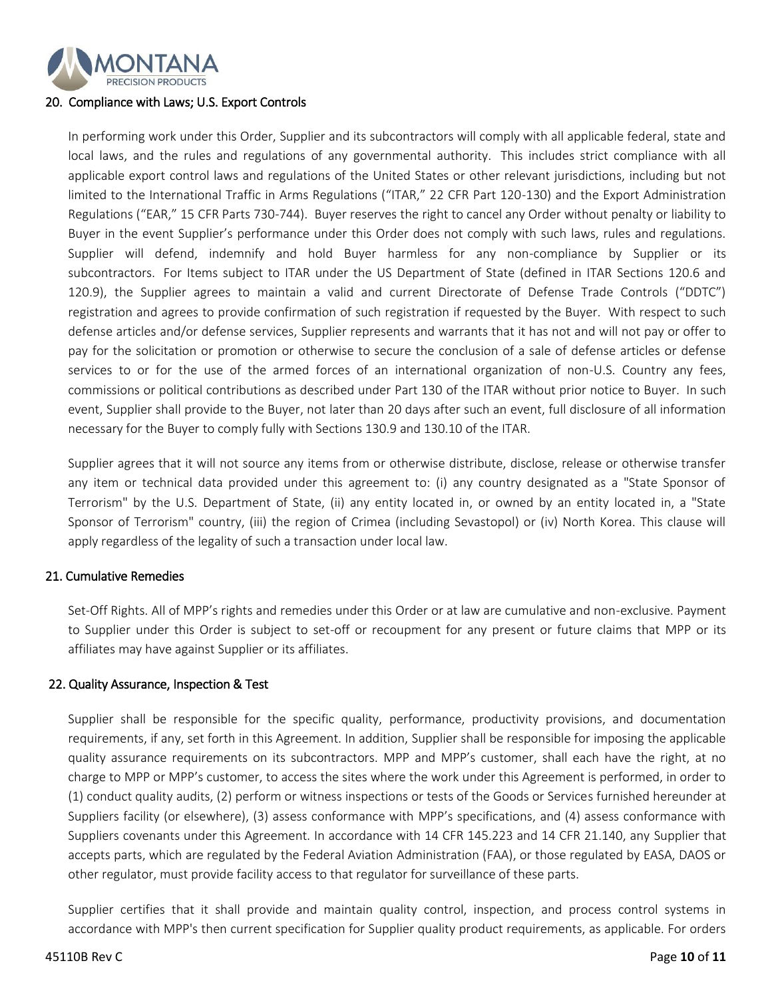

#### 20. Compliance with Laws; U.S. Export Controls

In performing work under this Order, Supplier and its subcontractors will comply with all applicable federal, state and local laws, and the rules and regulations of any governmental authority. This includes strict compliance with all applicable export control laws and regulations of the United States or other relevant jurisdictions, including but not limited to the International Traffic in Arms Regulations ("ITAR," 22 CFR Part 120-130) and the Export Administration Regulations ("EAR," 15 CFR Parts 730-744). Buyer reserves the right to cancel any Order without penalty or liability to Buyer in the event Supplier's performance under this Order does not comply with such laws, rules and regulations. Supplier will defend, indemnify and hold Buyer harmless for any non-compliance by Supplier or its subcontractors. For Items subject to ITAR under the US Department of State (defined in ITAR Sections 120.6 and 120.9), the Supplier agrees to maintain a valid and current Directorate of Defense Trade Controls ("DDTC") registration and agrees to provide confirmation of such registration if requested by the Buyer. With respect to such defense articles and/or defense services, Supplier represents and warrants that it has not and will not pay or offer to pay for the solicitation or promotion or otherwise to secure the conclusion of a sale of defense articles or defense services to or for the use of the armed forces of an international organization of non-U.S. Country any fees, commissions or political contributions as described under Part 130 of the ITAR without prior notice to Buyer. In such event, Supplier shall provide to the Buyer, not later than 20 days after such an event, full disclosure of all information necessary for the Buyer to comply fully with Sections 130.9 and 130.10 of the ITAR.

Supplier agrees that it will not source any items from or otherwise distribute, disclose, release or otherwise transfer any item or technical data provided under this agreement to: (i) any country designated as a "State Sponsor of Terrorism" by the U.S. Department of State, (ii) any entity located in, or owned by an entity located in, a "State Sponsor of Terrorism" country, (iii) the region of Crimea (including Sevastopol) or (iv) North Korea. This clause will apply regardless of the legality of such a transaction under local law.

#### 21. Cumulative Remedies

Set-Off Rights. All of MPP's rights and remedies under this Order or at law are cumulative and non-exclusive. Payment to Supplier under this Order is subject to set-off or recoupment for any present or future claims that MPP or its affiliates may have against Supplier or its affiliates.

#### 22. Quality Assurance, Inspection & Test

Supplier shall be responsible for the specific quality, performance, productivity provisions, and documentation requirements, if any, set forth in this Agreement. In addition, Supplier shall be responsible for imposing the applicable quality assurance requirements on its subcontractors. MPP and MPP's customer, shall each have the right, at no charge to MPP or MPP's customer, to access the sites where the work under this Agreement is performed, in order to (1) conduct quality audits, (2) perform or witness inspections or tests of the Goods or Services furnished hereunder at Suppliers facility (or elsewhere), (3) assess conformance with MPP's specifications, and (4) assess conformance with Suppliers covenants under this Agreement. In accordance with 14 CFR 145.223 and 14 CFR 21.140, any Supplier that accepts parts, which are regulated by the Federal Aviation Administration (FAA), or those regulated by EASA, DAOS or other regulator, must provide facility access to that regulator for surveillance of these parts.

Supplier certifies that it shall provide and maintain quality control, inspection, and process control systems in accordance with MPP's then current specification for Supplier quality product requirements, as applicable. For orders